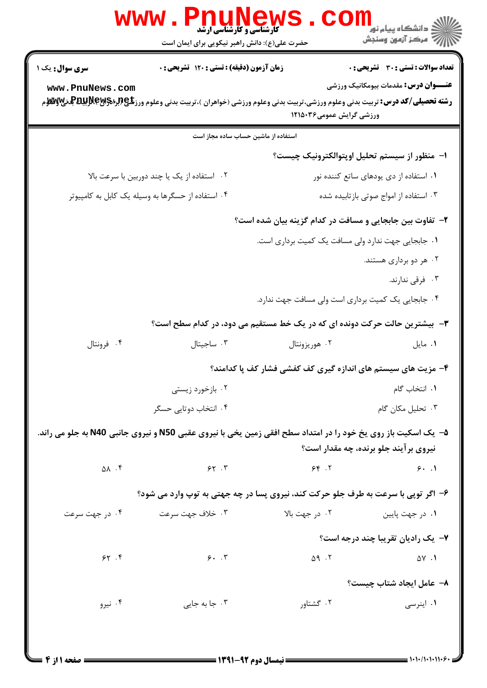|                                                                                                                                                                                                                                                                         | <b>WWW</b><br><b>کارشناسی و کارشناسی ارشد</b><br>حضرت علی(ع): دانش راهبر نیکویی برای ایمان است                         |                                                                           | ڪ دانشڪاه پيام نو <mark>ر</mark><br>ر <i>7</i> مرڪز آزمون وسنڊش |  |  |
|-------------------------------------------------------------------------------------------------------------------------------------------------------------------------------------------------------------------------------------------------------------------------|------------------------------------------------------------------------------------------------------------------------|---------------------------------------------------------------------------|-----------------------------------------------------------------|--|--|
| <b>سری سوال :</b> یک ۱                                                                                                                                                                                                                                                  | <b>زمان آزمون (دقیقه) : تستی : 120 گشریحی : 0</b>                                                                      |                                                                           | <b>تعداد سوالات : تستی : 30 ٪ تشریحی : 0</b>                    |  |  |
| www.PnuNews.com                                                                                                                                                                                                                                                         |                                                                                                                        |                                                                           | <b>عنـــوان درس:</b> مقدمات بیومکانیک ورزشی                     |  |  |
| <b>رشته تحصیلی/کد درس:</b> تربیت بدنی وعلوم ورزشی،تربیت بدنی وعلوم ورزشی (خواهران )،تربیت بدنی وعلوم ورز <b>شگی(لپلیت بلانیل به میلانی به میلان</b><br>می است این موسیع است و میلی بودن به موسیقی به موسیقی به موسیقی است و میلی و میلوم ور<br>ورزشی گرایش عمومی۱۲۱۵۰۳۶ |                                                                                                                        |                                                                           |                                                                 |  |  |
| استفاده از ماشین حساب ساده مجاز است                                                                                                                                                                                                                                     |                                                                                                                        |                                                                           |                                                                 |  |  |
|                                                                                                                                                                                                                                                                         |                                                                                                                        |                                                                           | ا– منظور از سیستم تحلیل اوپتوالکترونیک چیست؟                    |  |  |
|                                                                                                                                                                                                                                                                         | ٠٢ استفاده از يک يا چند دوربين با سرعت بالا                                                                            | ۰۱ استفاده از دی یودهای ساتع کننده نور                                    |                                                                 |  |  |
|                                                                                                                                                                                                                                                                         | ۰۴ استفاده از حسگرها به وسیله یک کابل به کامپیوتر                                                                      | ۰۳ استفاده از امواج صوتی بازتابیده شده                                    |                                                                 |  |  |
|                                                                                                                                                                                                                                                                         |                                                                                                                        | ۲- تفاوت بین جابجایی و مسافت در کدام گزینه بیان شده است؟                  |                                                                 |  |  |
| ٠١ جابجايي جهت ندارد ولي مسافت يک کميت برداري است.                                                                                                                                                                                                                      |                                                                                                                        |                                                                           |                                                                 |  |  |
|                                                                                                                                                                                                                                                                         |                                                                                                                        |                                                                           | ۰۲ هر دو برداری هستند.                                          |  |  |
|                                                                                                                                                                                                                                                                         |                                                                                                                        |                                                                           | ۰۳ فرقی ندارند.                                                 |  |  |
|                                                                                                                                                                                                                                                                         |                                                                                                                        | ۰۴ جابجایی یک کمیت برداری است ولی مسافت جهت ندارد.                        |                                                                 |  |  |
|                                                                                                                                                                                                                                                                         |                                                                                                                        | ۳- بیشترین حالت حرکت دونده ای که در یک خط مستقیم می دود، در کدام سطح است؟ |                                                                 |  |  |
| ۰۴ فرونتال                                                                                                                                                                                                                                                              | ۰۳ ساجيتال                                                                                                             | ۰۲ هوريزونتال                                                             | ۰۱ مايل                                                         |  |  |
|                                                                                                                                                                                                                                                                         |                                                                                                                        | ۴- مزیت های سیستم های اندازه گیری کف کفشی فشار کف پا کدامند؟              |                                                                 |  |  |
|                                                                                                                                                                                                                                                                         | ۰۲ بازخورد زیستی                                                                                                       |                                                                           | ٠١ انتخاب گام                                                   |  |  |
|                                                                                                                                                                                                                                                                         | ۰۴ انتخاب دوتایی حسگر                                                                                                  |                                                                           | ۰۳ تحلیل مکان گام                                               |  |  |
|                                                                                                                                                                                                                                                                         | <b>۵- ً یک اسکیت باز روی یخ خود را در امتداد سطح افقی زمین یخی با نیروی عقبی N50 و نیروی جانبی N40 به جلو می راند.</b> |                                                                           | نیروی بر آیند جلو برنده، چه مقدار است؟                          |  |  |
|                                                                                                                                                                                                                                                                         | 57.7                                                                                                                   | 56.7                                                                      | 9.1                                                             |  |  |
| $\Delta \Lambda$ .                                                                                                                                                                                                                                                      |                                                                                                                        |                                                                           |                                                                 |  |  |
|                                                                                                                                                                                                                                                                         | ۶- اگر توپی با سرعت به طرف جلو حرکت کند، نیروی پسا در چه جهتی به توپ وارد می شود؟                                      |                                                                           |                                                                 |  |  |
| ۰۴ در جهت سرعت                                                                                                                                                                                                                                                          | ۰۳ خلاف جهت سرعت                                                                                                       | ۰۲ در جهت بالا                                                            | ۰۱ در جهت پایین                                                 |  |  |
|                                                                                                                                                                                                                                                                         |                                                                                                                        |                                                                           | ۷- یک رادیان تقریبا چند درجه است؟                               |  |  |
| 55.5                                                                                                                                                                                                                                                                    | 9.7                                                                                                                    | $\Delta$ 9.5                                                              | $\Delta Y$ .                                                    |  |  |
|                                                                                                                                                                                                                                                                         |                                                                                                                        |                                                                           | ۸– عامل ایجاد شتاب چیست؟                                        |  |  |
| ۰۴ نیرو                                                                                                                                                                                                                                                                 | ۰۳ جا به جای <sub>ی</sub>                                                                                              | ۰۲ گشتاور                                                                 | ۰۱ اینرسی                                                       |  |  |
|                                                                                                                                                                                                                                                                         |                                                                                                                        |                                                                           |                                                                 |  |  |
|                                                                                                                                                                                                                                                                         |                                                                                                                        |                                                                           |                                                                 |  |  |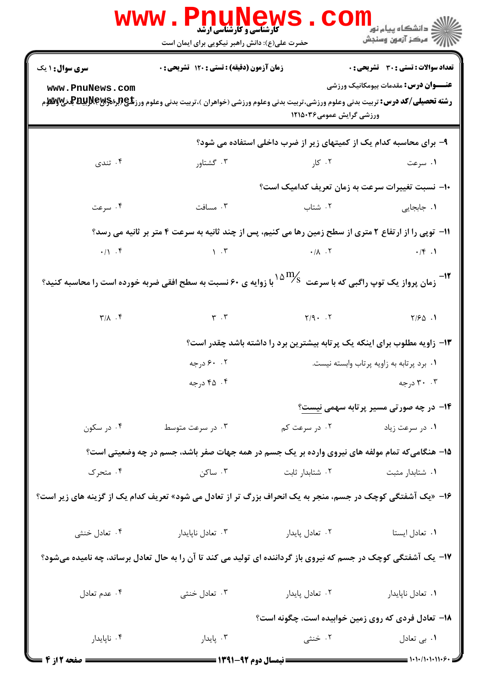|                                                                                                                         | www.Pnunews<br>حضرت علی(ع): دانش راهبر نیکویی برای ایمان است                                                                                                                                                                                                                    |                                                                                                      | ر دانشگاه پیام نور <mark>− ا</mark><br>ا∛ مرکز آزمون وسنجش |  |
|-------------------------------------------------------------------------------------------------------------------------|---------------------------------------------------------------------------------------------------------------------------------------------------------------------------------------------------------------------------------------------------------------------------------|------------------------------------------------------------------------------------------------------|------------------------------------------------------------|--|
| <b>سری سوال : ۱ یک</b>                                                                                                  | زمان آزمون (دقیقه) : تستی : 120 تشریحی : 0                                                                                                                                                                                                                                      |                                                                                                      | تعداد سوالات : تستى : 30 - تشريحي : 0                      |  |
| www.PnuNews.com                                                                                                         |                                                                                                                                                                                                                                                                                 |                                                                                                      | <b>عنـــوان درس:</b> مقدمات بیومکانیک ورزشی                |  |
|                                                                                                                         |                                                                                                                                                                                                                                                                                 | ورزشی گرایش عمومی۱۲۱۵۰۳۶                                                                             |                                                            |  |
|                                                                                                                         |                                                                                                                                                                                                                                                                                 | ۹- برای محاسبه کدام یک از کمیتهای زیر از ضرب داخلی استفاده می شود؟                                   |                                                            |  |
| ۰۴ تندی                                                                                                                 | ۰۳ گشتاور                                                                                                                                                                                                                                                                       | ۰۲ کار میباشد. است که است که است که است که است که است که است که است که است که است که است که است که ا | ۰۱ سرعت                                                    |  |
|                                                                                                                         |                                                                                                                                                                                                                                                                                 | ∙ا− نسبت تغییرات سرعت به زمان تعریف کدامیک است؟                                                      |                                                            |  |
| ۰۴ سرعت                                                                                                                 | ۰۳ مسافت                                                                                                                                                                                                                                                                        | ۰۲ شتاب                                                                                              | ۰۱ جابجای <sub>ی</sub>                                     |  |
|                                                                                                                         | 11- توپی را از ارتفاع ۲ متری از سطح زمین رها می کنیم، پس از چند ثانیه به سرعت ۴ متر بر ثانیه می رسد؟                                                                                                                                                                            |                                                                                                      |                                                            |  |
|                                                                                                                         | $\cdot$ /1 . If $\cdot$ /4 . If $\cdot$ /4 . If $\cdot$ /4 . If $\cdot$ /4 . If $\cdot$ /4 . If $\cdot$ /4 . If $\cdot$ /4 . If $\cdot$ /4 . If $\cdot$ /4 . If $\cdot$ /4 . If $\cdot$ /4 . If $\cdot$ /4 . If $\cdot$ /4 . If $\cdot$ /4 . If $\cdot$ /4 . If $\cdot$ /4 . If |                                                                                                      |                                                            |  |
| ا -<br>در ان پرواز یک توپ راگبی که با سرعت $^{10}\%$ با زوایه ی ۶۰ نسبت به سطح افقی ضربه خورده است را محاسبه کنید » - " |                                                                                                                                                                                                                                                                                 |                                                                                                      |                                                            |  |
|                                                                                                                         |                                                                                                                                                                                                                                                                                 |                                                                                                      |                                                            |  |
|                                                                                                                         |                                                                                                                                                                                                                                                                                 | ۱۳- زاویه مطلوب برای اینکه یک پرتابه بیشترین برد را داشته باشد چقدر است؟                             |                                                            |  |
|                                                                                                                         | ۰.۲ ۶۰ درجه                                                                                                                                                                                                                                                                     |                                                                                                      | ۰۱ برد پرتابه به زاویه پرتاب وابسته نیست.                  |  |
|                                                                                                                         | ۴. ۴۵ درجه                                                                                                                                                                                                                                                                      |                                                                                                      | ۰۳ درجه                                                    |  |
|                                                                                                                         |                                                                                                                                                                                                                                                                                 |                                                                                                      | ۱۴- در چه صورتی مسیر پرتابه سهمی نیست؟                     |  |
| ۰۴ در سکون                                                                                                              | ۰۳ در سرعت متوسط                                                                                                                                                                                                                                                                | ۰۲ در سرعت کم                                                                                        | ۰۱ در سرعت زیاد                                            |  |
|                                                                                                                         | ۱۵– هنگامیکه تمام مولفه های نیروی وارده بر یک جسم در همه جهات صفر باشد، جسم در چه وضعیتی است؟                                                                                                                                                                                   |                                                                                                      |                                                            |  |
| ۰۴ متحرک                                                                                                                | ۰۳ ساکن                                                                                                                                                                                                                                                                         | ٠٢ شتابدار ثابت                                                                                      | ٠١ شتابدار مثبت                                            |  |
| ۱۶- «یک آشفتگی کوچک در جسم، منجر به یک انحراف بزرگ تر از تعادل می شود» تعریف کدام یک از گزینه های زیر است؟              |                                                                                                                                                                                                                                                                                 |                                                                                                      |                                                            |  |
| ۰۴ تعادل خنثی                                                                                                           | ۰۳ تعادل ناپايدار                                                                                                                                                                                                                                                               | ۰۲ تعادل پایدار                                                                                      | ٠١ تعادل ايستا                                             |  |
| ۱۷– یک آشفتگی کوچک در جسم که نیروی باز گرداننده ای تولید می کند تا آن را به حال تعادل برساند، چه نامیده میشود؟          |                                                                                                                                                                                                                                                                                 |                                                                                                      |                                                            |  |
| ۰۴ عدم تعادل                                                                                                            | ۰۳ تعادل خنثی                                                                                                                                                                                                                                                                   | ۰۲ تعادل پایدار                                                                                      | ۰۱ تعادل ناپايدار                                          |  |
|                                                                                                                         |                                                                                                                                                                                                                                                                                 | <b>۱۸</b> - تعادل فردی که روی زمین خوابیده است، چگونه است؟                                           |                                                            |  |
| ۰۴ ناپايدار                                                                                                             | ۰۳ پایدار                                                                                                                                                                                                                                                                       | ۰۲ خنثی                                                                                              | ١. بي تعادل                                                |  |
| <b>: صفحه 2 از 4</b>                                                                                                    | <b>ــــ نیمسال دوم ۹۲-۱۳۹۱ ـــــ</b>                                                                                                                                                                                                                                            |                                                                                                      | $1+1+1+11+9$                                               |  |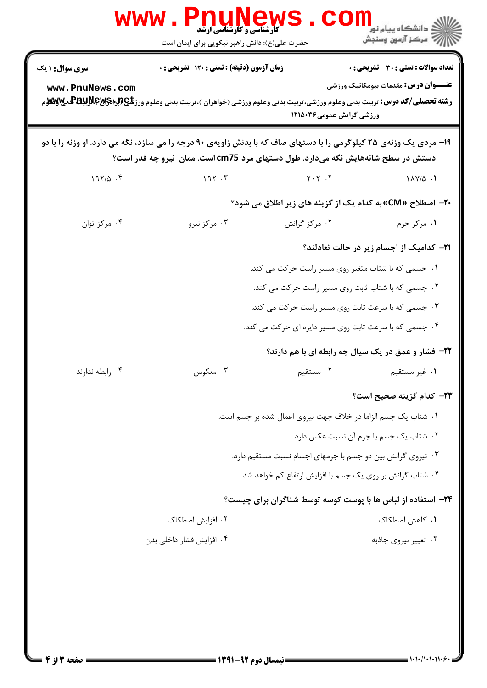|                                                                                                                                                                                                        | <b>کارشناسی و کارشناسی ارشد</b><br>حضرت علی(ع): دانش راهبر نیکویی برای ایمان است                                                                                                                                                                                                          |                                                               | ڪ دانشڪاه پيام نور<br>7- مرڪز آزمون وسنڊش                                                   |  |
|--------------------------------------------------------------------------------------------------------------------------------------------------------------------------------------------------------|-------------------------------------------------------------------------------------------------------------------------------------------------------------------------------------------------------------------------------------------------------------------------------------------|---------------------------------------------------------------|---------------------------------------------------------------------------------------------|--|
| <b>سری سوال :</b> ۱ یک<br>www.PnuNews.com                                                                                                                                                              | زمان آزمون (دقیقه) : تستی : ۱۲۰ تشریحی : ۰<br><b>رشته تحصیلی/کد درس:</b> تربیت بدنی وعلوم ورزشی،تربیت بدنی وعلوم ورزشی (خواهران )،تربیت بدنی وعلوم ورز <b>شگی(لپلېلېلېلېلېلېلېلېله کې</b> لانو کې<br>د اقلام او مورځ مورس: تربیت بدنی وعلوم ورزشی،تربیت بدنی وعلوم ورزشی (خواهران )،تربیت | ورزشی گرایش عمومی۱۲۱۵۰۳۶                                      | <b>تعداد سوالات : تستي : 30 ٪ تشريحي : 0</b><br><b>عنـــوان درس:</b> مقدمات بیومکانیک ورزشی |  |
| ۱۹- مردی یک وزنهی ۲۵ کیلوگرمی را با دستهای صاف که با بدنش زاویهی ۹۰ درجه را می سازد، نگه می دارد. او وزنه را با دو<br>دستش در سطح شانههایش نگه میدارد. طول دستهای مرد cm75 است. ممان ًنیرو چه قدر است؟ |                                                                                                                                                                                                                                                                                           |                                                               |                                                                                             |  |
| $197/\Delta$ .                                                                                                                                                                                         | 195.7                                                                                                                                                                                                                                                                                     | $Y \cdot Y$ . $Y$                                             | $1\lambda V/\Delta$ .                                                                       |  |
|                                                                                                                                                                                                        |                                                                                                                                                                                                                                                                                           | ۲۰− اصطلاح «CM» به کدام یک از گزینه های زیر اطلاق می شود؟     |                                                                                             |  |
| ۰۴ مرکز توان                                                                                                                                                                                           | ۰۳ مرکز نیرو                                                                                                                                                                                                                                                                              | ۰۲ مرکز گرانش                                                 | ١. مرکز جرم                                                                                 |  |
|                                                                                                                                                                                                        |                                                                                                                                                                                                                                                                                           |                                                               | <b>۲۱- کدامیک از اجسام زیر در حالت تعادلند</b> ؟                                            |  |
|                                                                                                                                                                                                        |                                                                                                                                                                                                                                                                                           | ۰۱ جسمی که با شتاب متغیر روی مسیر راست حرکت می کند.           |                                                                                             |  |
|                                                                                                                                                                                                        |                                                                                                                                                                                                                                                                                           | ۰۲ جسمی که با شتاب ثابت روی مسیر راست حرکت می کند.            |                                                                                             |  |
|                                                                                                                                                                                                        |                                                                                                                                                                                                                                                                                           | ۰۳ جسمی که با سرعت ثابت روی مسیر راست حرکت می کند.            |                                                                                             |  |
|                                                                                                                                                                                                        |                                                                                                                                                                                                                                                                                           | ۰۴ جسمی که با سرعت ثابت روی مسیر دایره ای حرکت می کند.        |                                                                                             |  |
|                                                                                                                                                                                                        |                                                                                                                                                                                                                                                                                           | ۲۲- فشار و عمق در یک سیال چه رابطه ای با هم دارند؟            |                                                                                             |  |
| ۰۴ رابطه ندارند                                                                                                                                                                                        | ۰۳ معکوس                                                                                                                                                                                                                                                                                  | ۲. مستقیم                                                     | ۰۱ غیر مستقیم                                                                               |  |
|                                                                                                                                                                                                        |                                                                                                                                                                                                                                                                                           |                                                               | ٢٣- كدام گزينه صحيح است؟                                                                    |  |
|                                                                                                                                                                                                        |                                                                                                                                                                                                                                                                                           | ١. شتاب يک جسم الزاما در خلاف جهت نيروي اعمال شده بر جسم است. |                                                                                             |  |
|                                                                                                                                                                                                        |                                                                                                                                                                                                                                                                                           |                                                               | ۰۲ شتاب یک جسم با جرم آن نسبت عکس دارد.                                                     |  |
|                                                                                                                                                                                                        |                                                                                                                                                                                                                                                                                           | ۰۳ نیروی گرانش بین دو جسم با جرمهای اجسام نسبت مستقیم دارد.   |                                                                                             |  |
|                                                                                                                                                                                                        |                                                                                                                                                                                                                                                                                           | ۰۴ شتاب گرانش بر روی یک جسم با افزایش ارتفاع کم خواهد شد.     |                                                                                             |  |
|                                                                                                                                                                                                        |                                                                                                                                                                                                                                                                                           | ۲۴- استفاده از لباس ها با پوست کوسه توسط شناگران برای چیست؟   |                                                                                             |  |
|                                                                                                                                                                                                        | ۰۲ افزایش اصطکاک                                                                                                                                                                                                                                                                          |                                                               | ۰۱ کاهش اصطکاک                                                                              |  |
|                                                                                                                                                                                                        | ۰۴ افزایش فشار داخلی بدن                                                                                                                                                                                                                                                                  |                                                               | ۰۳ تغییر نیروی جاذبه                                                                        |  |
|                                                                                                                                                                                                        |                                                                                                                                                                                                                                                                                           |                                                               |                                                                                             |  |
|                                                                                                                                                                                                        |                                                                                                                                                                                                                                                                                           |                                                               |                                                                                             |  |
|                                                                                                                                                                                                        |                                                                                                                                                                                                                                                                                           |                                                               |                                                                                             |  |